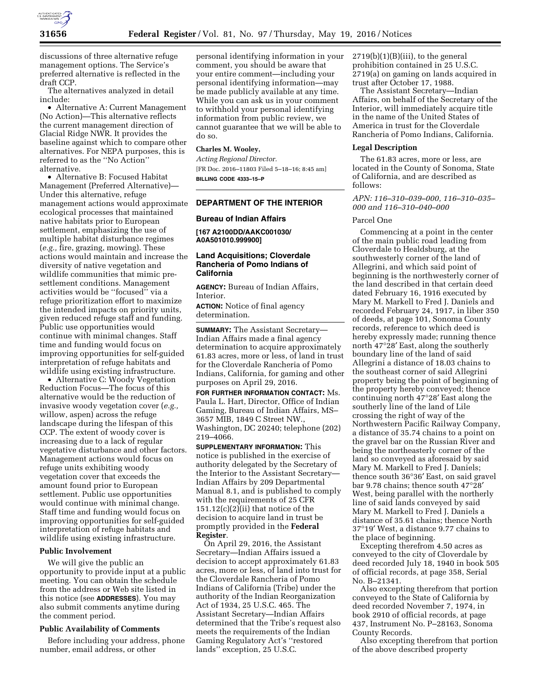

discussions of three alternative refuge management options. The Service's preferred alternative is reflected in the draft CCP.

The alternatives analyzed in detail include:

• Alternative A: Current Management (No Action)—This alternative reflects the current management direction of Glacial Ridge NWR. It provides the baseline against which to compare other alternatives. For NEPA purposes, this is referred to as the ''No Action'' alternative.

• Alternative B: Focused Habitat Management (Preferred Alternative)— Under this alternative, refuge management actions would approximate ecological processes that maintained native habitats prior to European settlement, emphasizing the use of multiple habitat disturbance regimes (*e.g.,* fire, grazing, mowing). These actions would maintain and increase the diversity of native vegetation and wildlife communities that mimic presettlement conditions. Management activities would be ''focused'' via a refuge prioritization effort to maximize the intended impacts on priority units, given reduced refuge staff and funding. Public use opportunities would continue with minimal changes. Staff time and funding would focus on improving opportunities for self-guided interpretation of refuge habitats and wildlife using existing infrastructure.

• Alternative C: Woody Vegetation Reduction Focus—The focus of this alternative would be the reduction of invasive woody vegetation cover (*e.g.,*  willow, aspen) across the refuge landscape during the lifespan of this CCP. The extent of woody cover is increasing due to a lack of regular vegetative disturbance and other factors. Management actions would focus on refuge units exhibiting woody vegetation cover that exceeds the amount found prior to European settlement. Public use opportunities would continue with minimal change. Staff time and funding would focus on improving opportunities for self-guided interpretation of refuge habitats and wildlife using existing infrastructure.

### **Public Involvement**

We will give the public an opportunity to provide input at a public meeting. You can obtain the schedule from the address or Web site listed in this notice (see **ADDRESSES**). You may also submit comments anytime during the comment period.

#### **Public Availability of Comments**

Before including your address, phone number, email address, or other

personal identifying information in your comment, you should be aware that your entire comment—including your personal identifying information—may be made publicly available at any time. While you can ask us in your comment to withhold your personal identifying information from public review, we cannot guarantee that we will be able to do so.

# **Charles M. Wooley,**

*Acting Regional Director.*  [FR Doc. 2016–11803 Filed 5–18–16; 8:45 am] **BILLING CODE 4333–15–P** 

# **DEPARTMENT OF THE INTERIOR**

### **Bureau of Indian Affairs**

**[167 A2100DD/AAKC001030/ A0A501010.999900]** 

# **Land Acquisitions; Cloverdale Rancheria of Pomo Indians of California**

**AGENCY:** Bureau of Indian Affairs, Interior.

**ACTION:** Notice of final agency determination.

**SUMMARY:** The Assistant Secretary— Indian Affairs made a final agency determination to acquire approximately 61.83 acres, more or less, of land in trust for the Cloverdale Rancheria of Pomo Indians, California, for gaming and other purposes on April 29, 2016.

**FOR FURTHER INFORMATION CONTACT:** Ms. Paula L. Hart, Director, Office of Indian Gaming, Bureau of Indian Affairs, MS– 3657 MIB, 1849 C Street NW., Washington, DC 20240; telephone (202) 219–4066.

**SUPPLEMENTARY INFORMATION:** This notice is published in the exercise of authority delegated by the Secretary of the Interior to the Assistant Secretary— Indian Affairs by 209 Departmental Manual 8.1, and is published to comply with the requirements of 25 CFR  $151.12(c)(2)(ii)$  that notice of the decision to acquire land in trust be promptly provided in the **Federal Register**.

On April 29, 2016, the Assistant Secretary—Indian Affairs issued a decision to accept approximately 61.83 acres, more or less, of land into trust for the Cloverdale Rancheria of Pomo Indians of California (Tribe) under the authority of the Indian Reorganization Act of 1934, 25 U.S.C. 465. The Assistant Secretary—Indian Affairs determined that the Tribe's request also meets the requirements of the Indian Gaming Regulatory Act's ''restored lands'' exception, 25 U.S.C.

 $2719(b)(1)(B)(iii)$ , to the general prohibition contained in 25 U.S.C. 2719(a) on gaming on lands acquired in trust after October 17, 1988.

The Assistant Secretary—Indian Affairs, on behalf of the Secretary of the Interior, will immediately acquire title in the name of the United States of America in trust for the Cloverdale Rancheria of Pomo Indians, California.

#### **Legal Description**

The 61.83 acres, more or less, are located in the County of Sonoma, State of California, and are described as follows:

# *APN: 116–310–039–000, 116–310–035– 000 and 116–310–040–000*

#### Parcel One

Commencing at a point in the center of the main public road leading from Cloverdale to Healdsburg, at the southwesterly corner of the land of Allegrini, and which said point of beginning is the northwesterly corner of the land described in that certain deed dated February 16, 1916 executed by Mary M. Markell to Fred J. Daniels and recorded February 24, 1917, in liber 350 of deeds, at page 101, Sonoma County records, reference to which deed is hereby expressly made; running thence north 47°28′ East, along the southerly boundary line of the land of said Allegrini a distance of 18.03 chains to the southeast corner of said Allegrini property being the point of beginning of the property hereby conveyed; thence continuing north 47°28′ East along the southerly line of the land of Lile crossing the right of way of the Northwestern Pacific Railway Company, a distance of 35.74 chains to a point on the gravel bar on the Russian River and being the northeasterly corner of the land so conveyed as aforesaid by said Mary M. Markell to Fred J. Daniels; thence south 36°36′ East, on said gravel bar 9.78 chains; thence south 47°28′ West, being parallel with the northerly line of said lands conveyed by said Mary M. Markell to Fred J. Daniels a distance of 35.61 chains; thence North 37°19′ West, a distance 9.77 chains to the place of beginning.

Excepting therefrom 4.50 acres as conveyed to the city of Cloverdale by deed recorded July 18, 1940 in book 505 of official records, at page 358, Serial No. B–21341.

Also excepting therefrom that portion conveyed to the State of California by deed recorded November 7, 1974, in book 2910 of official records, at page 437, Instrument No. P–28163, Sonoma County Records.

Also excepting therefrom that portion of the above described property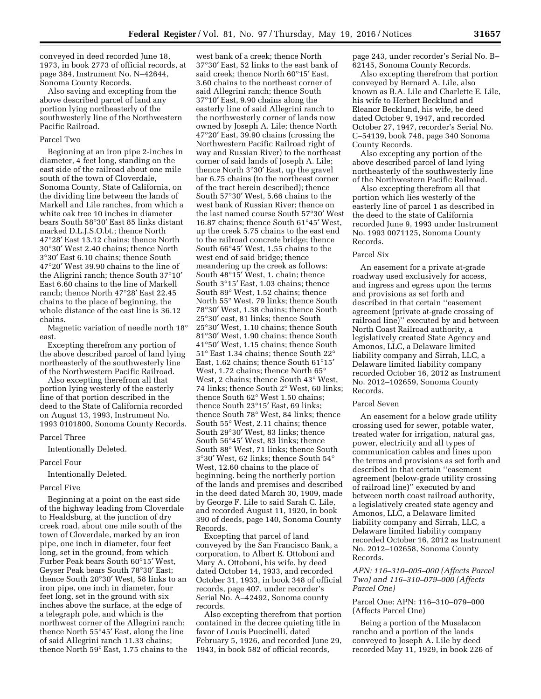conveyed in deed recorded June 18, 1973, in book 2773 of official records, at page 384, Instrument No. N–42644, Sonoma County Records.

Also saving and excepting from the above described parcel of land any portion lying northeasterly of the southwesterly line of the Northwestern Pacific Railroad.

# Parcel Two

Beginning at an iron pipe 2-inches in diameter, 4 feet long, standing on the east side of the railroad about one mile south of the town of Cloverdale, Sonoma County, State of California, on the dividing line between the lands of Markell and Lile ranches, from which a white oak tree 10 inches in diameter bears South 58°30′ East 85 links distant marked D.L.J.S.O.bt.; thence North 47°28′ East 13.12 chains; thence North 30°30′ West 2.40 chains; thence North 3°30′ East 6.10 chains; thence South 47°20′ West 39.90 chains to the line of the Aligrini ranch; thence South 37°10′ East 6.60 chains to the line of Markell ranch; thence North 47°28′ East 22.45 chains to the place of beginning, the whole distance of the east line is 36.12 chains.

Magnetic variation of needle north 18° east.

Excepting therefrom any portion of the above described parcel of land lying northeasterly of the southwesterly line of the Northwestern Pacific Railroad.

Also excepting therefrom all that portion lying westerly of the easterly line of that portion described in the deed to the State of California recorded on August 13, 1993, Instrument No. 1993 0101800, Sonoma County Records.

# Parcel Three

Intentionally Deleted.

#### Parcel Four

Intentionally Deleted.

#### Parcel Five

Beginning at a point on the east side of the highway leading from Cloverdale to Healdsburg, at the junction of dry creek road, about one mile south of the town of Cloverdale, marked by an iron pipe, one inch in diameter, four feet long, set in the ground, from which Furber Peak bears South 60°15′ West, Geyser Peak bears South 78°30′ East; thence South 20°30′ West, 58 links to an iron pipe, one inch in diameter, four feet long, set in the ground with six inches above the surface, at the edge of a telegraph pole, and which is the northwest corner of the Allegrini ranch; thence North 55°45′ East, along the line of said Allegrini ranch 11.33 chains; thence North 59° East, 1.75 chains to the

west bank of a creek; thence North 37°30′ East, 52 links to the east bank of said creek; thence North 60°15′ East, 3.60 chains to the northeast corner of said Allegrini ranch; thence South 37°10′ East, 9.90 chains along the easterly line of said Allegrini ranch to the northwesterly corner of lands now owned by Joseph A. Lile; thence North 47°20′ East, 39.90 chains (crossing the Northwestern Pacific Railroad right of way and Russian River) to the northeast corner of said lands of Joseph A. Lile; thence North 3°30′ East, up the gravel bar 6.75 chains (to the northeast corner of the tract herein described); thence South 57°30′ West, 5.66 chains to the west bank of Russian River; thence on the last named course South 57°30′ West 16.87 chains; thence South 61°45′ West, up the creek 5.75 chains to the east end to the railroad concrete bridge; thence South 66°45′ West, 1.55 chains to the west end of said bridge; thence meandering up the creek as follows: South 48°15′ West, 1. chain; thence South 3°15′ East, 1.03 chains; thence South 89° West, 1.52 chains; thence North 55° West, 79 links; thence South 78°30′ West, 1.38 chains; thence South 25°30′ east, 81 links; thence South 25°30′ West, 1.10 chains; thence South 81°30′ West, 1.90 chains; thence South 41°50′ West, 1.15 chains; thence South 51° East 1.34 chains; thence South 22° East, 1.62 chains; thence South 61°15′ West, 1.72 chains; thence North 65° West, 2 chains; thence South 43° West, 74 links; thence South 2° West, 60 links; thence South 62° West 1.50 chains; thence South 23°15′ East, 69 links; thence South 78° West, 84 links; thence South 55° West, 2.11 chains; thence South 29°30′ West, 83 links; thence South 56°45′ West, 83 links; thence South 88° West, 71 links; thence South 3°30′ West, 62 links; thence South 54° West, 12.60 chains to the place of beginning. being the northerly portion of the lands and premises and described in the deed dated March 30, 1909, made by George F. Lile to said Sarah C. Lile, and recorded August 11, 1920, in book 390 of deeds, page 140, Sonoma County Records.

Excepting that parcel of land conveyed by the San Francisco Bank, a corporation, to Albert E. Ottoboni and Mary A. Ottoboni, his wife, by deed dated October 14, 1933, and recorded October 31, 1933, in book 348 of official records, page 407, under recorder's Serial No. A–42492, Sonoma county records.

Also excepting therefrom that portion contained in the decree quieting title in favor of Louis Puecinelli, dated February 5, 1926, and recorded June 29, 1943, in book 582 of official records,

page 243, under recorder's Serial No. B– 62145, Sonoma County Records.

Also excepting therefrom that portion conveyed by Bernard A. Lile, also known as B.A. Lile and Charlette E. Lile, his wife to Herbert Becklund and Eleanor Becklund, his wife, be deed dated October 9, 1947, and recorded October 27, 1947, recorder's Serial No. C–54139, book 748, page 340 Sonoma County Records.

Also excepting any portion of the above described parcel of land lying northeasterly of the southwesterly line of the Northwestern Pacific Railroad.

Also excepting therefrom all that portion which lies westerly of the easterly line of parcel 1 as described in the deed to the state of California recorded June 9, 1993 under Instrument No. 1993 0071125, Sonoma County Records.

### Parcel Six

An easement for a private at-grade roadway used exclusively for access, and ingress and egress upon the terms and provisions as set forth and described in that certain ''easement agreement (private at-grade crossing of railroad line)'' executed by and between North Coast Railroad authority, a legislatively created State Agency and Amonos, LLC, a Delaware limited liability company and Sirrah, LLC, a Delaware limited liability company recorded October 16, 2012 as Instrument No. 2012–102659, Sonoma County Records.

#### Parcel Seven

An easement for a below grade utility crossing used for sewer, potable water, treated water for irrigation, natural gas, power, electricity and all types of communication cables and lines upon the terms and provisions as set forth and described in that certain ''easement agreement (below-grade utility crossing of railroad line)'' executed by and between north coast railroad authority, a legislatively created state agency and Amonos, LLC, a Delaware limited liability company and Sirrah, LLC, a Delaware limited liability company recorded October 16, 2012 as Instrument No. 2012–102658, Sonoma County Records.

# *APN: 116–310–005–000 (Affects Parcel Two) and 116–310–079–000 (Affects Parcel One)*

# Parcel One: APN: 116–310–079–000 (Affects Parcel One)

Being a portion of the Musalacon rancho and a portion of the lands conveyed to Joseph A. Lile by deed recorded May 11, 1929, in book 226 of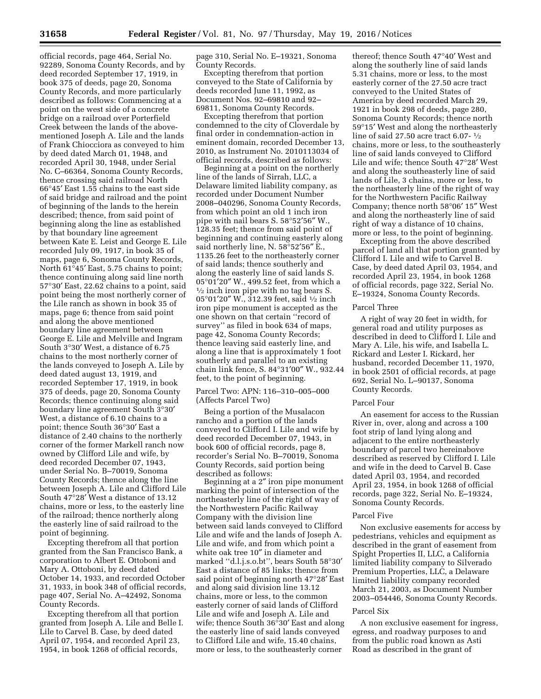official records, page 464, Serial No. 92289, Sonoma County Records, and by deed recorded September 17, 1919, in book 375 of deeds, page 20, Sonoma County Records, and more particularly described as follows: Commencing at a point on the west side of a concrete bridge on a railroad over Porterfield Creek between the lands of the abovementioned Joseph A. Lile and the lands of Frank Chiocciora as conveyed to him by deed dated March 01, 1948, and recorded April 30, 1948, under Serial No. C–66364*,* Sonoma County Records, thence crossing said railroad North 66°45′ East 1.55 chains to the east side of said bridge and railroad and the point of beginning of the lands to the herein described; thence, from said point of beginning along the line as established by that boundary line agreement between Kate E. Leist and George E. Lile recorded July 09, 1917, in book 35 of maps, page 6, Sonoma County Records, North 61°45′ East, 5.75 chains to point; thence continuing along said line north 57°30′ East, 22.62 chains to a point, said point being the most northerly corner of the Lile ranch as shown in book 35 of maps, page 6; thence from said point and along the above mentioned boundary line agreement between George E. Lile and Melville and Ingram South 3°30′ West, a distance of 6.75 chains to the most northerly corner of the lands conveyed to Joseph A. Lile by deed dated august 13, 1919, and recorded September 17, 1919, in book 375 of deeds, page 20, Sonoma County Records; thence continuing along said boundary line agreement South 3°30′ West, a distance of 6.10 chains to a point; thence South 36°30′ East a distance of 2.40 chains to the northerly corner of the former Markell ranch now owned by Clifford Lile and wife, by deed recorded December 07, 1943, under Serial No. B–70019, Sonoma County Records; thence along the line between Joseph A. Lile and Clifford Lile South 47°28′ West a distance of 13.12 chains, more or less, to the easterly line of the railroad; thence northerly along the easterly line of said railroad to the point of beginning.

Excepting therefrom all that portion granted from the San Francisco Bank, a corporation to Albert E. Ottoboni and Mary A. Ottoboni, by deed dated October 14, 1933, and recorded October 31, 1933, in book 348 of official records, page 407, Serial No. A–42492, Sonoma County Records.

Excepting therefrom all that portion granted from Joseph A. Lile and Belle I. Lile to Carvel B. Case, by deed dated April 07, 1954, and recorded April 23, 1954, in book 1268 of official records,

page 310, Serial No. E–19321, Sonoma County Records.

Excepting therefrom that portion conveyed to the State of California by deeds recorded June 11, 1992, as Document Nos. 92–69810 and 92– 69811, Sonoma County Records.

Excepting therefrom that portion condemned to the city of Cloverdale by final order in condemnation-action in eminent domain, recorded December 13, 2010, as Instrument No. 2010113034 of official records, described as follows:

Beginning at a point on the northerly line of the lands of Sirrah, LLC, a Delaware limited liability company, as recorded under Document Number 2008–040296, Sonoma County Records, from which point an old 1 inch iron pipe with nail bears S. 58°52′56″ W., 128.35 feet; thence from said point of beginning and continuing easterly along said northerly line, N. 58°52′56″ E., 1135.26 feet to the northeasterly corner of said lands; thence southerly and along the easterly line of said lands S. <sup>05</sup>°01′20″ W., 499.52 feet, from which a 1⁄2 inch iron pipe with no tag bears S. 05°01′20″ W., 312.39 feet, said 1⁄2 inch iron pipe monument is accepted as the one shown on that certain ''record of survey'' as filed in book 634 of maps, page 42, Sonoma County Records; thence leaving said easterly line, and along a line that is approximately 1 foot southerly and parallel to an existing chain link fence, S. 84°31′00″ W., 932.44 feet, to the point of beginning.

## Parcel Two: APN: 116–310–005–000 (Affects Parcel Two)

Being a portion of the Musalacon rancho and a portion of the lands conveyed to Clifford I. Lile and wife by deed recorded December 07, 1943, in book 600 of official records, page 8, recorder's Serial No. B–70019, Sonoma County Records, said portion being described as follows:

Beginning at a 2″ iron pipe monument marking the point of intersection of the northeasterly line of the right of way of the Northwestern Pacific Railway Company with the division line between said lands conveyed to Clifford Lile and wife and the lands of Joseph A. Lile and wife, and from which point a white oak tree 10″ in diameter and marked ''d.l.j.s.o.bt'', bears South 58°30′ East a distance of 85 links; thence from said point of beginning north 47°28′ East and along said division line 13.12 chains, more or less, to the common easterly corner of said lands of Clifford Lile and wife and Joseph A. Lile and wife; thence South 36°30′ East and along the easterly line of said lands conveyed to Clifford Lile and wife, 15.40 chains, more or less, to the southeasterly corner

thereof; thence South 47°40′ West and along the southerly line of said lands 5.31 chains, more or less, to the most easterly corner of the 27.50 acre tract conveyed to the United States of America by deed recorded March 29, 1921 in book 298 of deeds, page 280, Sonoma County Records; thence north 59°15′ West and along the northeasterly line of said 27.50 acre tract 6.07- 1⁄2 chains, more or less, to the southeasterly line of said lands conveyed to Clifford Lile and wife; thence South 47°28′ West and along the southeasterly line of said lands of Lile, 3 chains, more or less, to the northeasterly line of the right of way for the Northwestern Pacific Railway Company; thence north 58°06′ 15″ West and along the northeasterly line of said right of way a distance of 10 chains, more or less, to the point of beginning.

Excepting from the above described parcel of land all that portion granted by Clifford I. Lile and wife to Carvel B. Case, by deed dated April 03, 1954, and recorded April 23, 1954, in book 1268 of official records, page 322, Serial No. E–19324, Sonoma County Records.

### Parcel Three

A right of way 20 feet in width, for general road and utility purposes as described in deed to Clifford I. Lile and Mary A. Lile, his wife, and Isabella L. Rickard and Lester I. Rickard, her husband, recorded December 11, 1970, in book 2501 of official records, at page 692, Serial No. L–90137, Sonoma County Records.

### Parcel Four

An easement for access to the Russian River in, over, along and across a 100 foot strip of land lying along and adjacent to the entire northeasterly boundary of parcel two hereinabove described as reserved by Clifford I. Lile and wife in the deed to Carvel B. Case dated April 03, 1954, and recorded April 23, 1954, in book 1268 of official records, page 322, Serial No. E–19324, Sonoma County Records.

#### Parcel Five

Non exclusive easements for access by pedestrians, vehicles and equipment as described in the grant of easement from Spight Properties II, LLC, a California limited liability company to Silverado Premium Properties, LLC, a Delaware limited liability company recorded March 21, 2003, as Document Number 2003–054446, Sonoma County Records.

#### Parcel Six

A non exclusive easement for ingress, egress, and roadway purposes to and from the public road known as Asti Road as described in the grant of